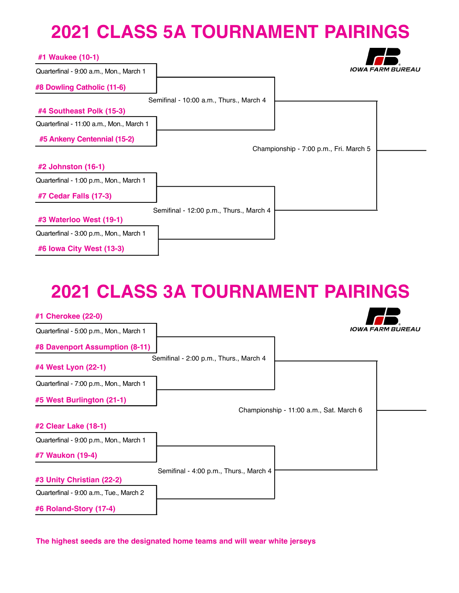### **2021 CLASS 5A TOURNAMENT PAIRINGS**

| #1 Waukee (10-1)                         |                                         |                                        |                         |
|------------------------------------------|-----------------------------------------|----------------------------------------|-------------------------|
| Quarterfinal - 9:00 a.m., Mon., March 1  |                                         |                                        | <b>IOWA FARM BUREAU</b> |
| #8 Dowling Catholic (11-6)               |                                         |                                        |                         |
|                                          | Semifinal - 10:00 a.m., Thurs., March 4 |                                        |                         |
| #4 Southeast Polk (15-3)                 |                                         |                                        |                         |
| Quarterfinal - 11:00 a.m., Mon., March 1 |                                         |                                        |                         |
| #5 Ankeny Centennial (15-2)              |                                         |                                        |                         |
|                                          |                                         | Championship - 7:00 p.m., Fri. March 5 |                         |
| #2 Johnston (16-1)                       |                                         |                                        |                         |
| Quarterfinal - 1:00 p.m., Mon., March 1  |                                         |                                        |                         |
| #7 Cedar Falls (17-3)                    |                                         |                                        |                         |
|                                          | Semifinal - 12:00 p.m., Thurs., March 4 |                                        |                         |
| #3 Waterloo West (19-1)                  |                                         |                                        |                         |
| Quarterfinal - 3:00 p.m., Mon., March 1  |                                         |                                        |                         |
| #6 Iowa City West (13-3)                 |                                         |                                        |                         |

### **2021 CLASS 3A TOURNAMENT PAIRINGS**

 $\overline{\phantom{a}}$ 

| #1 Cherokee (22-0)                      |                                        |                                         |                         |
|-----------------------------------------|----------------------------------------|-----------------------------------------|-------------------------|
| Quarterfinal - 5:00 p.m., Mon., March 1 |                                        |                                         | <b>IOWA FARM BUREAU</b> |
| #8 Davenport Assumption (8-11)          |                                        |                                         |                         |
| #4 West Lyon (22-1)                     | Semifinal - 2:00 p.m., Thurs., March 4 |                                         |                         |
| Quarterfinal - 7:00 p.m., Mon., March 1 |                                        |                                         |                         |
| #5 West Burlington (21-1)               |                                        |                                         |                         |
|                                         |                                        | Championship - 11:00 a.m., Sat. March 6 |                         |
| #2 Clear Lake (18-1)                    |                                        |                                         |                         |
| Quarterfinal - 9:00 p.m., Mon., March 1 |                                        |                                         |                         |
| #7 Waukon (19-4)                        |                                        |                                         |                         |
|                                         | Semifinal - 4:00 p.m., Thurs., March 4 |                                         |                         |
| #3 Unity Christian (22-2)               |                                        |                                         |                         |
| Quarterfinal - 9:00 a.m., Tue., March 2 |                                        |                                         |                         |
| #6 Roland-Story (17-4)                  |                                        |                                         |                         |

**The highest seeds are the designated home teams and will wear white jerseys**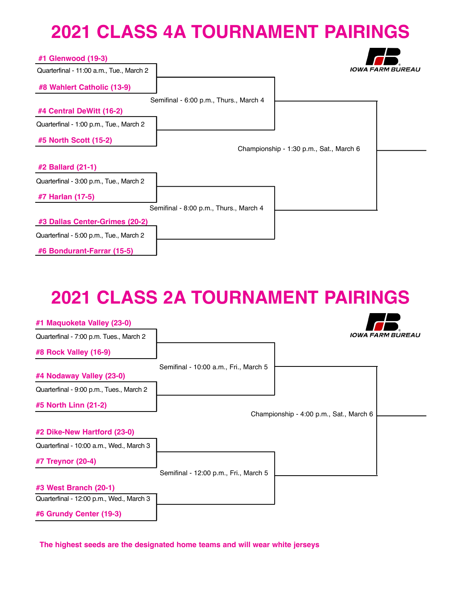### **2021 CLASS 4A TOURNAMENT PAIRINGS**

**18** 

 $\overline{\phantom{a}}$ 

| #1 Glenwood (19-3)                       |                                        |                                         |                         |
|------------------------------------------|----------------------------------------|-----------------------------------------|-------------------------|
| Quarterfinal - 11:00 a.m., Tue., March 2 |                                        |                                         | <b>IOWA FARM BUREAU</b> |
| #8 Wahlert Catholic (13-9)               |                                        |                                         |                         |
|                                          | Semifinal - 6:00 p.m., Thurs., March 4 |                                         |                         |
| #4 Central DeWitt (16-2)                 |                                        |                                         |                         |
| Quarterfinal - 1:00 p.m., Tue., March 2  |                                        |                                         |                         |
| #5 North Scott (15-2)                    |                                        |                                         |                         |
|                                          |                                        | Championship - 1:30 p.m., Sat., March 6 |                         |
| #2 Ballard (21-1)                        |                                        |                                         |                         |
| Quarterfinal - 3:00 p.m., Tue., March 2  |                                        |                                         |                         |
| #7 Harlan (17-5)                         |                                        |                                         |                         |
|                                          | Semifinal - 8:00 p.m., Thurs., March 4 |                                         |                         |
| #3 Dallas Center-Grimes (20-2)           |                                        |                                         |                         |
| Quarterfinal - 5:00 p.m., Tue., March 2  |                                        |                                         |                         |
| #6 Bondurant-Farrar (15-5)               |                                        |                                         |                         |

# **2021 CLASS 2A TOURNAMENT PAIRINGS**

| #1 Maquoketa Valley (23-0)               |                                       |                                         |                         |
|------------------------------------------|---------------------------------------|-----------------------------------------|-------------------------|
| Quarterfinal - 7:00 p.m. Tues., March 2  |                                       |                                         | <b>IOWA FARM BUREAU</b> |
| #8 Rock Valley (16-9)                    |                                       |                                         |                         |
| #4 Nodaway Valley (23-0)                 | Semifinal - 10:00 a.m., Fri., March 5 |                                         |                         |
| Quarterfinal - 9:00 p.m., Tues., March 2 |                                       |                                         |                         |
| #5 North Linn (21-2)                     |                                       |                                         |                         |
|                                          |                                       | Championship - 4:00 p.m., Sat., March 6 |                         |
| #2 Dike-New Hartford (23-0)              |                                       |                                         |                         |
| Quarterfinal - 10:00 a.m., Wed., March 3 |                                       |                                         |                         |
| #7 Treynor (20-4)                        |                                       |                                         |                         |
|                                          | Semifinal - 12:00 p.m., Fri., March 5 |                                         |                         |
| #3 West Branch (20-1)                    |                                       |                                         |                         |
| Quarterfinal - 12:00 p.m., Wed., March 3 |                                       |                                         |                         |
| #6 Grundy Center (19-3)                  |                                       |                                         |                         |

**The highest seeds are the designated home teams and will wear white jerseys**